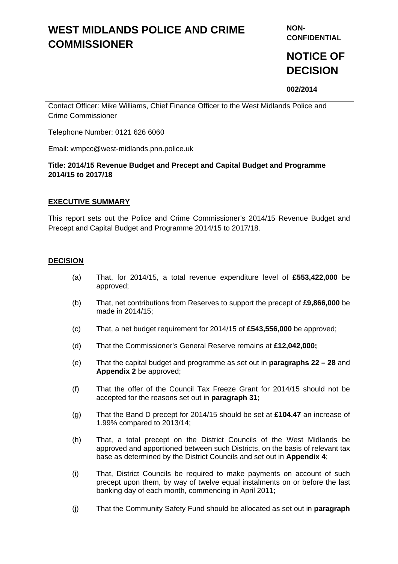# **WEST MIDLANDS POLICE AND CRIME COMMISSIONER**

**NON-CONFIDENTIAL** 

# **NOTICE OF DECISION**

**002/2014** 

Contact Officer: Mike Williams, Chief Finance Officer to the West Midlands Police and Crime Commissioner

Telephone Number: 0121 626 6060

Email: wmpcc@west-midlands.pnn.police.uk

## **Title: 2014/15 Revenue Budget and Precept and Capital Budget and Programme 2014/15 to 2017/18**

### **EXECUTIVE SUMMARY**

This report sets out the Police and Crime Commissioner's 2014/15 Revenue Budget and Precept and Capital Budget and Programme 2014/15 to 2017/18.

### **DECISION**

- (a) That, for 2014/15, a total revenue expenditure level of **£553,422,000** be approved;
- (b) That, net contributions from Reserves to support the precept of **£9,866,000** be made in 2014/15;
- (c) That, a net budget requirement for 2014/15 of **£543,556,000** be approved;
- (d) That the Commissioner's General Reserve remains at **£12,042,000;**
- (e) That the capital budget and programme as set out in **paragraphs 22 28** and **Appendix 2** be approved;
- (f) That the offer of the Council Tax Freeze Grant for 2014/15 should not be accepted for the reasons set out in **paragraph 31;**
- (g) That the Band D precept for 2014/15 should be set at **£104.47** an increase of 1.99% compared to 2013/14;
- (h) That, a total precept on the District Councils of the West Midlands be approved and apportioned between such Districts, on the basis of relevant tax base as determined by the District Councils and set out in **Appendix 4**;
- (i) That, District Councils be required to make payments on account of such precept upon them, by way of twelve equal instalments on or before the last banking day of each month, commencing in April 2011;
- (j) That the Community Safety Fund should be allocated as set out in **paragraph**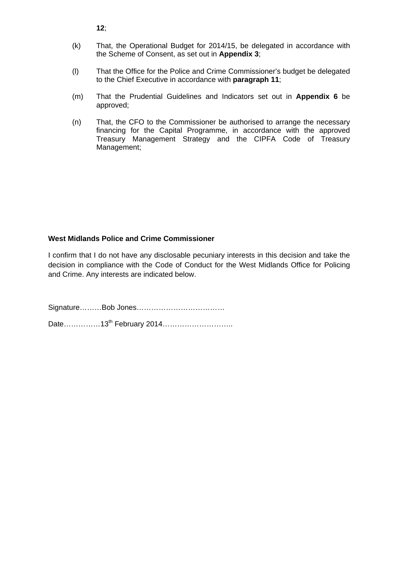**12**;

- (k) That, the Operational Budget for 2014/15, be delegated in accordance with the Scheme of Consent, as set out in **Appendix 3**;
- (l) That the Office for the Police and Crime Commissioner's budget be delegated to the Chief Executive in accordance with **paragraph 11**;
- (m) That the Prudential Guidelines and Indicators set out in **Appendix 6** be approved;
- (n) That, the CFO to the Commissioner be authorised to arrange the necessary financing for the Capital Programme, in accordance with the approved Treasury Management Strategy and the CIPFA Code of Treasury Management;

## **West Midlands Police and Crime Commissioner**

I confirm that I do not have any disclosable pecuniary interests in this decision and take the decision in compliance with the Code of Conduct for the West Midlands Office for Policing and Crime. Any interests are indicated below.

Signature………Bob Jones……………………………… Date……………13th February 2014………………………..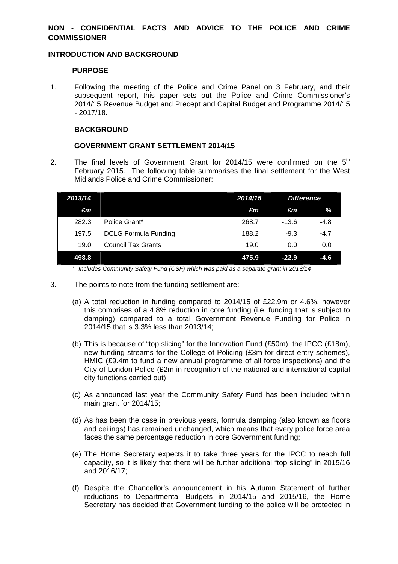# **NON - CONFIDENTIAL FACTS AND ADVICE TO THE POLICE AND CRIME COMMISSIONER**

### **INTRODUCTION AND BACKGROUND**

### **PURPOSE**

1. Following the meeting of the Police and Crime Panel on 3 February, and their subsequent report, this paper sets out the Police and Crime Commissioner's 2014/15 Revenue Budget and Precept and Capital Budget and Programme 2014/15 - 2017/18.

### **BACKGROUND**

### **GOVERNMENT GRANT SETTLEMENT 2014/15**

2. The final levels of Government Grant for 2014/15 were confirmed on the  $5<sup>th</sup>$ February 2015. The following table summarises the final settlement for the West Midlands Police and Crime Commissioner:

| 2013/14 |                             | 2014/15 | <b>Difference</b> |        |
|---------|-----------------------------|---------|-------------------|--------|
| £m      |                             | £m      | £m                | %      |
| 282.3   | Police Grant*               | 268.7   | $-13.6$           | $-4.8$ |
| 197.5   | <b>DCLG Formula Funding</b> | 188.2   | $-9.3$            | $-4.7$ |
| 19.0    | <b>Council Tax Grants</b>   | 19.0    | 0.0               | 0.0    |
| 498.8   |                             | 475.9   | $-22.9$           | $-4.6$ |

*\* Includes Community Safety Fund (CSF) which was paid as a separate grant in 2013/14*

- 3. The points to note from the funding settlement are:
	- (a) A total reduction in funding compared to 2014/15 of £22.9m or 4.6%, however this comprises of a 4.8% reduction in core funding (i.e. funding that is subject to damping) compared to a total Government Revenue Funding for Police in 2014/15 that is 3.3% less than 2013/14;
	- (b) This is because of "top slicing" for the Innovation Fund  $(E50m)$ , the IPCC  $(E18m)$ , new funding streams for the College of Policing (£3m for direct entry schemes), HMIC (£9.4m to fund a new annual programme of all force inspections) and the City of London Police (£2m in recognition of the national and international capital city functions carried out);
	- (c) As announced last year the Community Safety Fund has been included within main grant for 2014/15;
	- (d) As has been the case in previous years, formula damping (also known as floors and ceilings) has remained unchanged, which means that every police force area faces the same percentage reduction in core Government funding;
	- (e) The Home Secretary expects it to take three years for the IPCC to reach full capacity, so it is likely that there will be further additional "top slicing" in 2015/16 and 2016/17;
	- (f) Despite the Chancellor's announcement in his Autumn Statement of further reductions to Departmental Budgets in 2014/15 and 2015/16, the Home Secretary has decided that Government funding to the police will be protected in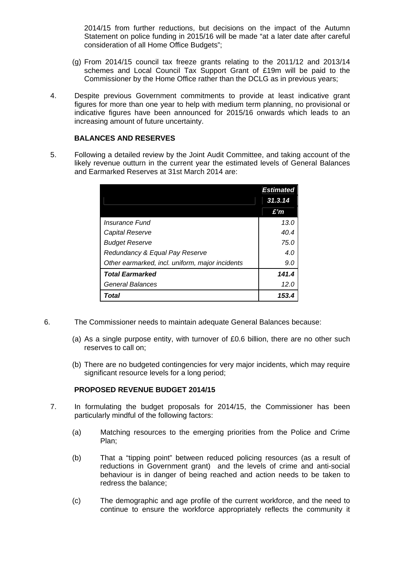2014/15 from further reductions, but decisions on the impact of the Autumn Statement on police funding in 2015/16 will be made "at a later date after careful consideration of all Home Office Budgets";

- (g) From 2014/15 council tax freeze grants relating to the 2011/12 and 2013/14 schemes and Local Council Tax Support Grant of £19m will be paid to the Commissioner by the Home Office rather than the DCLG as in previous years;
- 4. Despite previous Government commitments to provide at least indicative grant figures for more than one year to help with medium term planning, no provisional or indicative figures have been announced for 2015/16 onwards which leads to an increasing amount of future uncertainty.

### **BALANCES AND RESERVES**

5. Following a detailed review by the Joint Audit Committee, and taking account of the likely revenue outturn in the current year the estimated levels of General Balances and Earmarked Reserves at 31st March 2014 are:

|                                                 | <b>Estimated</b> |
|-------------------------------------------------|------------------|
|                                                 | 31.3.14          |
|                                                 | £'n              |
| Insurance Fund                                  | 13.0             |
| Capital Reserve                                 | 40.4             |
| <b>Budget Reserve</b>                           | 75.0             |
| Redundancy & Equal Pay Reserve                  | 4.0              |
| Other earmarked, incl. uniform, major incidents | 9.0              |
| <b>Total Earmarked</b>                          | 141.4            |
| General Balances                                | 12.0             |
| Total                                           | 153.4            |

- 6. The Commissioner needs to maintain adequate General Balances because:
	- (a) As a single purpose entity, with turnover of £0.6 billion, there are no other such reserves to call on;
	- (b) There are no budgeted contingencies for very major incidents, which may require significant resource levels for a long period;

# **PROPOSED REVENUE BUDGET 2014/15**

- 7. In formulating the budget proposals for 2014/15, the Commissioner has been particularly mindful of the following factors:
	- (a) Matching resources to the emerging priorities from the Police and Crime Plan;
	- (b) That a "tipping point" between reduced policing resources (as a result of reductions in Government grant) and the levels of crime and anti-social behaviour is in danger of being reached and action needs to be taken to redress the balance;
	- (c) The demographic and age profile of the current workforce, and the need to continue to ensure the workforce appropriately reflects the community it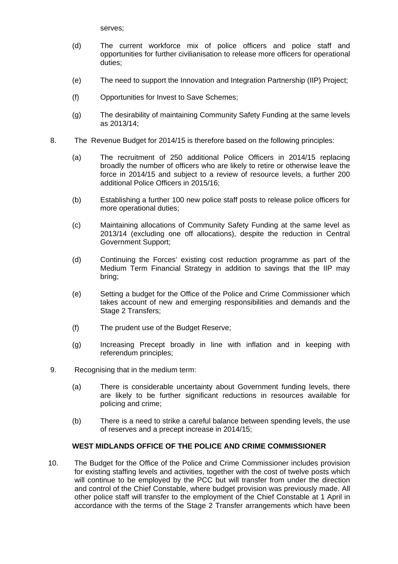serves;

- (d) The current workforce mix of police officers and police staff and opportunities for further civilianisation to release more officers for operational duties;
- (e) The need to support the Innovation and Integration Partnership (IIP) Project;
- (f) Opportunities for Invest to Save Schemes;
- (g) The desirability of maintaining Community Safety Funding at the same levels as 2013/14;
- 8. The Revenue Budget for 2014/15 is therefore based on the following principles:
	- (a) The recruitment of 250 additional Police Officers in 2014/15 replacing broadly the number of officers who are likely to retire or otherwise leave the force in 2014/15 and subject to a review of resource levels, a further 200 additional Police Officers in 2015/16;
	- (b) Establishing a further 100 new police staff posts to release police officers for more operational duties;
	- (c) Maintaining allocations of Community Safety Funding at the same level as 2013/14 (excluding one off allocations), despite the reduction in Central Government Support;
	- (d) Continuing the Forces' existing cost reduction programme as part of the Medium Term Financial Strategy in addition to savings that the IIP may bring;
	- (e) Setting a budget for the Office of the Police and Crime Commissioner which takes account of new and emerging responsibilities and demands and the Stage 2 Transfers;
	- (f) The prudent use of the Budget Reserve;
	- (g) Increasing Precept broadly in line with inflation and in keeping with referendum principles;
- 9. Recognising that in the medium term:
	- (a) There is considerable uncertainty about Government funding levels, there are likely to be further significant reductions in resources available for policing and crime;
	- (b) There is a need to strike a careful balance between spending levels, the use of reserves and a precept increase in 2014/15;

## **WEST MIDLANDS OFFICE OF THE POLICE AND CRIME COMMISSIONER**

10. The Budget for the Office of the Police and Crime Commissioner includes provision for existing staffing levels and activities, together with the cost of twelve posts which will continue to be employed by the PCC but will transfer from under the direction and control of the Chief Constable, where budget provision was previously made. All other police staff will transfer to the employment of the Chief Constable at 1 April in accordance with the terms of the Stage 2 Transfer arrangements which have been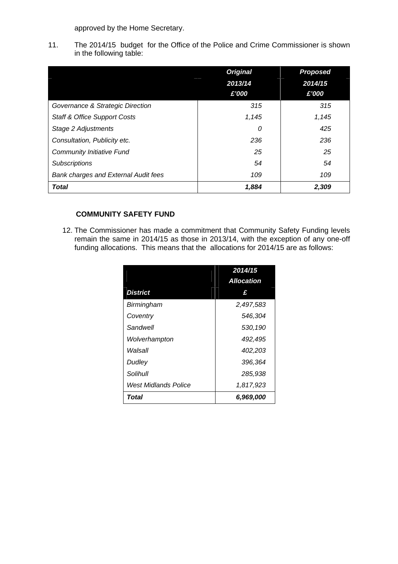approved by the Home Secretary.

11. The 2014/15 budget for the Office of the Police and Crime Commissioner is shown in the following table:

|                                             | <b>Original</b> | <b>Proposed</b> |
|---------------------------------------------|-----------------|-----------------|
|                                             | 2013/14         | 2014/15         |
|                                             | £'000           | £'000           |
| Governance & Strategic Direction            | 315             | 315             |
| <b>Staff &amp; Office Support Costs</b>     | 1,145           | 1,145           |
| Stage 2 Adjustments                         | 0               | 425             |
| Consultation, Publicity etc.                | 236             | 236             |
| <b>Community Initiative Fund</b>            | 25              | 25              |
| <b>Subscriptions</b>                        | 54              | 54              |
| <b>Bank charges and External Audit fees</b> | 109             | 109             |
| <b>Total</b>                                | 1.884           | 2,309           |

# **COMMUNITY SAFETY FUND**

12. The Commissioner has made a commitment that Community Safety Funding levels remain the same in 2014/15 as those in 2013/14, with the exception of any one-off funding allocations. This means that the allocations for 2014/15 are as follows:

|                      | 2014/15           |
|----------------------|-------------------|
|                      | <b>Allocation</b> |
| <b>District</b>      | £                 |
| Birmingham           | 2,497,583         |
| Coventry             | 546,304           |
| Sandwell             | 530.190           |
| Wolverhampton        | 492,495           |
| Walsall              | 402,203           |
| Dudley               | 396,364           |
| Solihull             | 285.938           |
| West Midlands Police | 1,817,923         |
| Total                | 6,969,000         |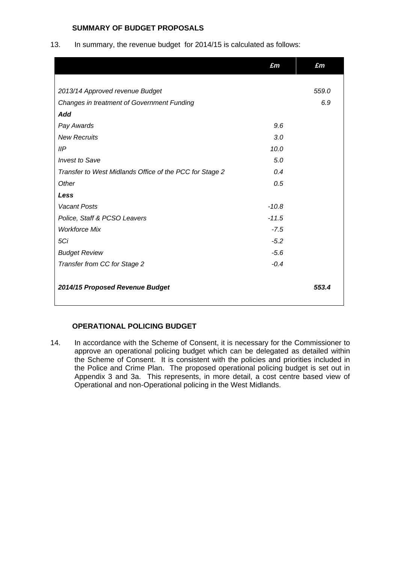# **SUMMARY OF BUDGET PROPOSALS**

13. In summary, the revenue budget for 2014/15 is calculated as follows:

|                                                         | £m      | £m    |
|---------------------------------------------------------|---------|-------|
|                                                         |         |       |
| 2013/14 Approved revenue Budget                         |         | 559.0 |
| Changes in treatment of Government Funding              |         | 6.9   |
| Add                                                     |         |       |
| Pay Awards                                              | 9.6     |       |
| <b>New Recruits</b>                                     | 3.0     |       |
| IIP                                                     | 10.0    |       |
| <b>Invest to Save</b>                                   | 5.0     |       |
| Transfer to West Midlands Office of the PCC for Stage 2 | 0.4     |       |
| Other                                                   | 0.5     |       |
| Less                                                    |         |       |
| <b>Vacant Posts</b>                                     | $-10.8$ |       |
| Police, Staff & PCSO Leavers                            | $-11.5$ |       |
| <b>Workforce Mix</b>                                    | $-7.5$  |       |
| 5Ci                                                     | $-5.2$  |       |
| <b>Budget Review</b>                                    | $-5.6$  |       |
| Transfer from CC for Stage 2                            | $-0.4$  |       |
| 2014/15 Proposed Revenue Budget                         |         | 553.4 |

## **OPERATIONAL POLICING BUDGET**

14. In accordance with the Scheme of Consent, it is necessary for the Commissioner to approve an operational policing budget which can be delegated as detailed within the Scheme of Consent. It is consistent with the policies and priorities included in the Police and Crime Plan. The proposed operational policing budget is set out in Appendix 3 and 3a. This represents, in more detail, a cost centre based view of Operational and non-Operational policing in the West Midlands.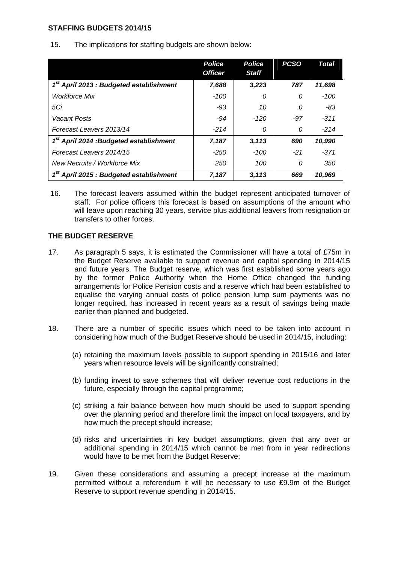### **STAFFING BUDGETS 2014/15**

15. The implications for staffing budgets are shown below:

|                                                     | <b>Police</b>  | <b>Police</b> | <b>PCSO</b> | <b>Total</b> |
|-----------------------------------------------------|----------------|---------------|-------------|--------------|
|                                                     | <b>Officer</b> | <b>Staff</b>  |             |              |
| 1 <sup>st</sup> April 2013 : Budgeted establishment | 7,688          | 3,223         | 787         | 11,698       |
| <b>Workforce Mix</b>                                | -100           | 0             | 0           | -100         |
| 5Ci                                                 | $-93$          | 10            | 0           | $-83$        |
| Vacant Posts                                        | -94            | $-120$        | $-97$       | $-311$       |
| Forecast Leavers 2013/14                            | $-214$         | 0             | 0           | $-214$       |
| 1 <sup>st</sup> April 2014 :Budgeted establishment  | 7,187          | 3,113         | 690         | 10,990       |
| Forecast Leavers 2014/15                            | $-250$         | -100          | $-21$       | $-371$       |
| New Recruits / Workforce Mix                        | 250            | 100           | 0           | 350          |
| 1 <sup>st</sup> April 2015 : Budgeted establishment | 7,187          | 3,113         | 669         | 10,969       |

16. The forecast leavers assumed within the budget represent anticipated turnover of staff. For police officers this forecast is based on assumptions of the amount who will leave upon reaching 30 years, service plus additional leavers from resignation or transfers to other forces.

## **THE BUDGET RESERVE**

- 17. As paragraph 5 says, it is estimated the Commissioner will have a total of £75m in the Budget Reserve available to support revenue and capital spending in 2014/15 and future years. The Budget reserve, which was first established some years ago by the former Police Authority when the Home Office changed the funding arrangements for Police Pension costs and a reserve which had been established to equalise the varying annual costs of police pension lump sum payments was no longer required, has increased in recent years as a result of savings being made earlier than planned and budgeted.
- 18. There are a number of specific issues which need to be taken into account in considering how much of the Budget Reserve should be used in 2014/15, including:
	- (a) retaining the maximum levels possible to support spending in 2015/16 and later years when resource levels will be significantly constrained;
	- (b) funding invest to save schemes that will deliver revenue cost reductions in the future, especially through the capital programme;
	- (c) striking a fair balance between how much should be used to support spending over the planning period and therefore limit the impact on local taxpayers, and by how much the precept should increase;
	- (d) risks and uncertainties in key budget assumptions, given that any over or additional spending in 2014/15 which cannot be met from in year redirections would have to be met from the Budget Reserve;
- 19. Given these considerations and assuming a precept increase at the maximum permitted without a referendum it will be necessary to use £9.9m of the Budget Reserve to support revenue spending in 2014/15.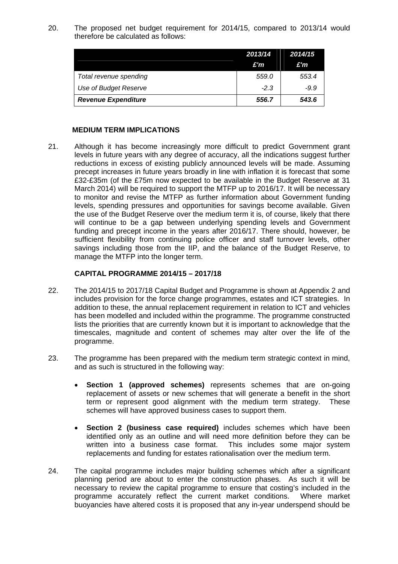20. The proposed net budget requirement for 2014/15, compared to 2013/14 would therefore be calculated as follows:

|                            | 2013/14<br>£'m | 2014/15<br>£'m |
|----------------------------|----------------|----------------|
| Total revenue spending     | 559.0          | 553.4          |
| Use of Budget Reserve      | $-2.3$         | $-9.9$         |
| <b>Revenue Expenditure</b> | 556.7          | 543.6          |

#### **MEDIUM TERM IMPLICATIONS**

21. Although it has become increasingly more difficult to predict Government grant levels in future years with any degree of accuracy, all the indications suggest further reductions in excess of existing publicly announced levels will be made. Assuming precept increases in future years broadly in line with inflation it is forecast that some £32-£35m (of the £75m now expected to be available in the Budget Reserve at 31 March 2014) will be required to support the MTFP up to 2016/17. It will be necessary to monitor and revise the MTFP as further information about Government funding levels, spending pressures and opportunities for savings become available. Given the use of the Budget Reserve over the medium term it is, of course, likely that there will continue to be a gap between underlying spending levels and Government funding and precept income in the years after 2016/17. There should, however, be sufficient flexibility from continuing police officer and staff turnover levels, other savings including those from the IIP, and the balance of the Budget Reserve, to manage the MTFP into the longer term.

### **CAPITAL PROGRAMME 2014/15 – 2017/18**

- 22. The 2014/15 to 2017/18 Capital Budget and Programme is shown at Appendix 2 and includes provision for the force change programmes, estates and ICT strategies. In addition to these, the annual replacement requirement in relation to ICT and vehicles has been modelled and included within the programme. The programme constructed lists the priorities that are currently known but it is important to acknowledge that the timescales, magnitude and content of schemes may alter over the life of the programme.
- 23. The programme has been prepared with the medium term strategic context in mind, and as such is structured in the following way:
	- **Section 1 (approved schemes)** represents schemes that are on-going replacement of assets or new schemes that will generate a benefit in the short term or represent good alignment with the medium term strategy. These schemes will have approved business cases to support them.
	- **Section 2 (business case required)** includes schemes which have been identified only as an outline and will need more definition before they can be written into a business case format. This includes some major system replacements and funding for estates rationalisation over the medium term.
- 24. The capital programme includes major building schemes which after a significant planning period are about to enter the construction phases. As such it will be necessary to review the capital programme to ensure that costing's included in the programme accurately reflect the current market conditions. Where market buoyancies have altered costs it is proposed that any in-year underspend should be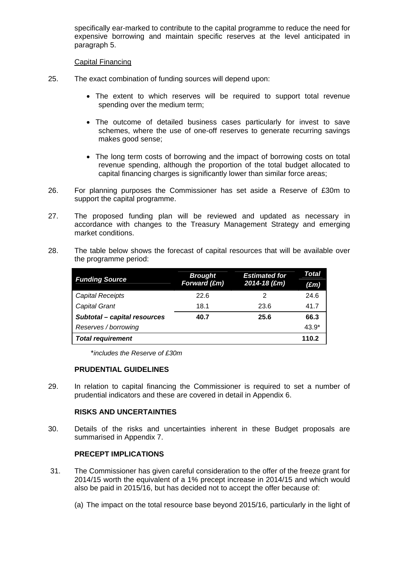specifically ear-marked to contribute to the capital programme to reduce the need for expensive borrowing and maintain specific reserves at the level anticipated in paragraph 5.

### Capital Financing

- 25. The exact combination of funding sources will depend upon:
	- The extent to which reserves will be required to support total revenue spending over the medium term;
	- The outcome of detailed business cases particularly for invest to save schemes, where the use of one-off reserves to generate recurring savings makes good sense;
	- The long term costs of borrowing and the impact of borrowing costs on total revenue spending, although the proportion of the total budget allocated to capital financing charges is significantly lower than similar force areas;
- 26. For planning purposes the Commissioner has set aside a Reserve of £30m to support the capital programme.
- 27. The proposed funding plan will be reviewed and updated as necessary in accordance with changes to the Treasury Management Strategy and emerging market conditions.
- 28. The table below shows the forecast of capital resources that will be available over the programme period:

| <b>Funding Source</b>        | <b>Brought</b> | <b>Estimated for</b> | Total         |
|------------------------------|----------------|----------------------|---------------|
|                              | Forward $(fm)$ | 2014-18 (£m)         | $(\pounds m)$ |
| <b>Capital Receipts</b>      | 22.6           | 2                    | 24.6          |
| <b>Capital Grant</b>         | 18.1           | 23.6                 | 41.7          |
| Subtotal - capital resources | 40.7           | 25.6                 | 66.3          |
| Reserves / borrowing         |                |                      | $43.9*$       |
| <b>Total requirement</b>     |                |                      | 110.2         |

\**includes the Reserve of £30m* 

## **PRUDENTIAL GUIDELINES**

29. In relation to capital financing the Commissioner is required to set a number of prudential indicators and these are covered in detail in Appendix 6.

## **RISKS AND UNCERTAINTIES**

30. Details of the risks and uncertainties inherent in these Budget proposals are summarised in Appendix 7.

## **PRECEPT IMPLICATIONS**

- 31. The Commissioner has given careful consideration to the offer of the freeze grant for 2014/15 worth the equivalent of a 1% precept increase in 2014/15 and which would also be paid in 2015/16, but has decided not to accept the offer because of:
	- (a) The impact on the total resource base beyond 2015/16, particularly in the light of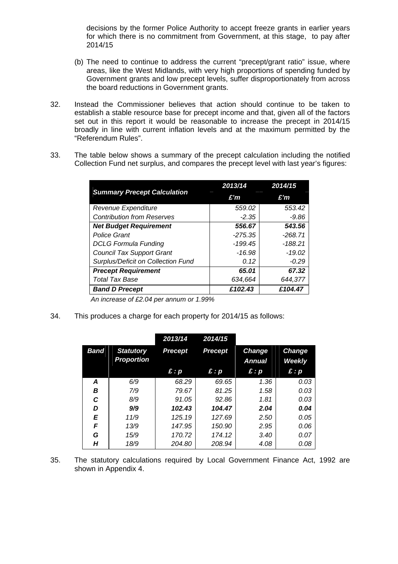decisions by the former Police Authority to accept freeze grants in earlier years for which there is no commitment from Government, at this stage, to pay after 2014/15

- (b) The need to continue to address the current "precept/grant ratio" issue, where areas, like the West Midlands, with very high proportions of spending funded by Government grants and low precept levels, suffer disproportionately from across the board reductions in Government grants.
- 32. Instead the Commissioner believes that action should continue to be taken to establish a stable resource base for precept income and that, given all of the factors set out in this report it would be reasonable to increase the precept in 2014/15 broadly in line with current inflation levels and at the maximum permitted by the "Referendum Rules".
- 33. The table below shows a summary of the precept calculation including the notified Collection Fund net surplus, and compares the precept level with last year's figures:

|                                           | 2013/14   | 2014/15   |
|-------------------------------------------|-----------|-----------|
| <b>Summary Precept Calculation</b>        | E'm       | E'm       |
| Revenue Expenditure                       | 559.02    | 553.42    |
| <b>Contribution from Reserves</b>         | $-2.35$   | $-9.86$   |
| <b>Net Budget Requirement</b>             | 556.67    | 543.56    |
| <b>Police Grant</b>                       | $-275.35$ | $-268.71$ |
| <b>DCLG Formula Funding</b>               | -199.45   | -188.21   |
| <b>Council Tax Support Grant</b>          | -16.98    | $-19.02$  |
| <b>Surplus/Deficit on Collection Fund</b> | 0.12      | $-0.29$   |
| <b>Precept Requirement</b>                | 65.01     | 67.32     |
| <b>Total Tax Base</b>                     | 634,664   | 644,377   |
| <b>Band D Precept</b>                     | £102.43   | £104.47   |

*An increase of £2.04 per annum or 1.99%* 

34. This produces a charge for each property for 2014/15 as follows:

|      |                                       | 2013/14        | 2014/15                 |                                |                                |
|------|---------------------------------------|----------------|-------------------------|--------------------------------|--------------------------------|
| Band | <b>Statutory</b><br><b>Proportion</b> | <b>Precept</b> | <b>Precept</b>          | <b>Change</b><br><b>Annual</b> | <b>Change</b><br><b>Weekly</b> |
|      |                                       | $\hat{E}:p$    | $\mathbf{f}:\mathbf{p}$ | E: p                           | $\mathbf{f}$ : $\mathbf{p}$    |
| A    | 6/9                                   | 68.29          | 69.65                   | 1.36                           | 0.03                           |
| B    | 7/9                                   | 79.67          | 81.25                   | 1.58                           | 0.03                           |
| C    | 8/9                                   | 91.05          | 92.86                   | 1.81                           | 0.03                           |
| D    | 9/9                                   | 102.43         | 104.47                  | 2.04                           | 0.04                           |
| E    | 11/9                                  | 125.19         | 127.69                  | 2.50                           | 0.05                           |
| F    | 13/9                                  | 147.95         | 150.90                  | 2.95                           | 0.06                           |
| G    | 15/9                                  | 170.72         | 174.12                  | 3.40                           | 0.07                           |
| Н    | 18/9                                  | 204.80         | 208.94                  | 4.08                           | 0.08                           |

35. The statutory calculations required by Local Government Finance Act, 1992 are shown in Appendix 4.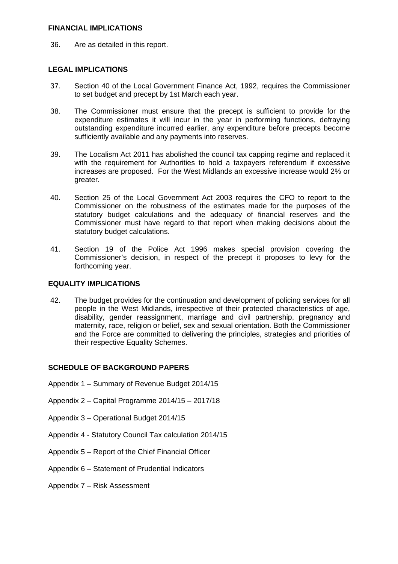### **FINANCIAL IMPLICATIONS**

36. Are as detailed in this report.

## **LEGAL IMPLICATIONS**

- 37. Section 40 of the Local Government Finance Act, 1992, requires the Commissioner to set budget and precept by 1st March each year.
- 38. The Commissioner must ensure that the precept is sufficient to provide for the expenditure estimates it will incur in the year in performing functions, defraying outstanding expenditure incurred earlier, any expenditure before precepts become sufficiently available and any payments into reserves.
- 39. The Localism Act 2011 has abolished the council tax capping regime and replaced it with the requirement for Authorities to hold a taxpayers referendum if excessive increases are proposed. For the West Midlands an excessive increase would 2% or greater.
- 40. Section 25 of the Local Government Act 2003 requires the CFO to report to the Commissioner on the robustness of the estimates made for the purposes of the statutory budget calculations and the adequacy of financial reserves and the Commissioner must have regard to that report when making decisions about the statutory budget calculations.
- 41. Section 19 of the Police Act 1996 makes special provision covering the Commissioner's decision, in respect of the precept it proposes to levy for the forthcoming year.

## **EQUALITY IMPLICATIONS**

42. The budget provides for the continuation and development of policing services for all people in the West Midlands, irrespective of their protected characteristics of age, disability, gender reassignment, marriage and civil partnership, pregnancy and maternity, race, religion or belief, sex and sexual orientation. Both the Commissioner and the Force are committed to delivering the principles, strategies and priorities of their respective Equality Schemes.

## **SCHEDULE OF BACKGROUND PAPERS**

- Appendix 1 Summary of Revenue Budget 2014/15
- Appendix 2 Capital Programme 2014/15 2017/18
- Appendix 3 Operational Budget 2014/15
- Appendix 4 Statutory Council Tax calculation 2014/15
- Appendix 5 Report of the Chief Financial Officer
- Appendix 6 Statement of Prudential Indicators
- Appendix 7 Risk Assessment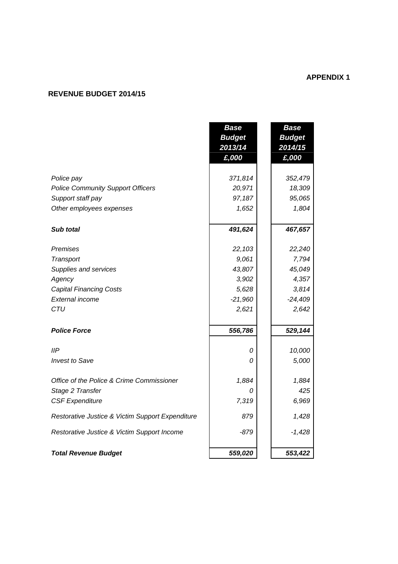# **APPENDIX 1**

# **REVENUE BUDGET 2014/15**

|                                                  | <b>Base</b>   | <b>Base</b>   |
|--------------------------------------------------|---------------|---------------|
|                                                  | <b>Budget</b> | <b>Budget</b> |
|                                                  | 2013/14       | 2014/15       |
|                                                  | £,000         | £,000         |
|                                                  |               |               |
| Police pay                                       | 371,814       | 352,479       |
| <b>Police Community Support Officers</b>         | 20,971        | 18,309        |
| Support staff pay                                | 97,187        | 95,065        |
| Other employees expenses                         | 1,652         | 1,804         |
|                                                  |               |               |
| Sub total                                        | 491,624       | 467,657       |
| Premises                                         | 22,103        | 22,240        |
| Transport                                        | 9,061         | 7,794         |
| Supplies and services                            | 43,807        | 45,049        |
| Agency                                           | 3,902         | 4,357         |
| <b>Capital Financing Costs</b>                   | 5,628         | 3,814         |
| External income                                  | $-21,960$     | $-24,409$     |
| CTU                                              | 2,621         | 2,642         |
|                                                  |               |               |
| <b>Police Force</b>                              | 556,786       | 529,144       |
| IIP                                              | 0             | 10,000        |
| <b>Invest to Save</b>                            | 0             | 5,000         |
|                                                  |               |               |
| Office of the Police & Crime Commissioner        | 1,884         | 1,884         |
| Stage 2 Transfer                                 | 0             | 425           |
| <b>CSF Expenditure</b>                           | 7,319         | 6,969         |
| Restorative Justice & Victim Support Expenditure | 879           | 1,428         |
| Restorative Justice & Victim Support Income      | $-879$        | $-1,428$      |
|                                                  |               |               |
| <b>Total Revenue Budget</b>                      | 559,020       | 553,422       |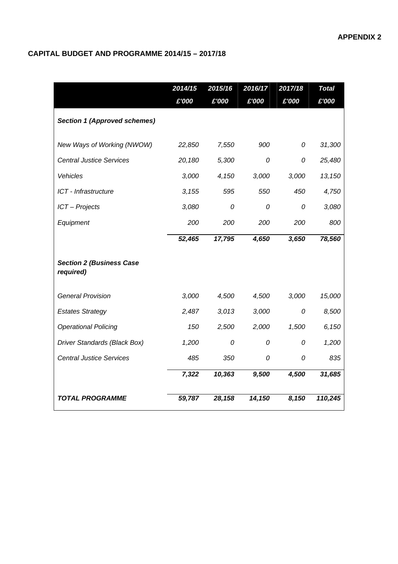# **CAPITAL BUDGET AND PROGRAMME 2014/15 – 2017/18**

|                                              | 2014/15 | 2015/16 | 2016/17 | 2017/18 | <b>Total</b> |
|----------------------------------------------|---------|---------|---------|---------|--------------|
|                                              | £'000   | £'000   | £'000   | £'000   | £'000        |
| <b>Section 1 (Approved schemes)</b>          |         |         |         |         |              |
| New Ways of Working (NWOW)                   | 22,850  | 7,550   | 900     | 0       | 31,300       |
| <b>Central Justice Services</b>              | 20,180  | 5,300   | 0       | 0       | 25,480       |
| Vehicles                                     | 3,000   | 4,150   | 3,000   | 3,000   | 13,150       |
| ICT - Infrastructure                         | 3,155   | 595     | 550     | 450     | 4,750        |
| ICT - Projects                               | 3,080   | 0       | 0       | 0       | 3,080        |
| Equipment                                    | 200     | 200     | 200     | 200     | 800          |
|                                              | 52,465  | 17,795  | 4,650   | 3,650   | 78,560       |
| <b>Section 2 (Business Case</b><br>required) |         |         |         |         |              |
| <b>General Provision</b>                     | 3,000   | 4,500   | 4,500   | 3,000   | 15,000       |
| <b>Estates Strategy</b>                      | 2,487   | 3,013   | 3,000   | 0       | 8,500        |
| <b>Operational Policing</b>                  | 150     | 2,500   | 2,000   | 1,500   | 6,150        |
| Driver Standards (Black Box)                 | 1,200   | 0       | 0       | 0       | 1,200        |
| <b>Central Justice Services</b>              | 485     | 350     | 0       | 0       | 835          |
|                                              | 7,322   | 10,363  | 9,500   | 4,500   | 31,685       |
| <b>TOTAL PROGRAMME</b>                       | 59,787  | 28,158  | 14,150  | 8,150   | 110,245      |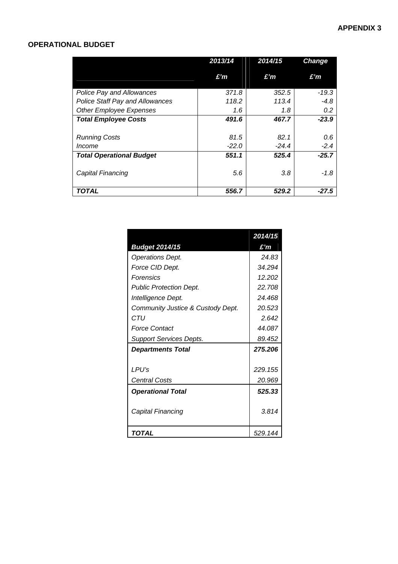# **OPERATIONAL BUDGET**

|                                        | 2013/14 | 2014/15 | <b>Change</b> |
|----------------------------------------|---------|---------|---------------|
|                                        | £'n     | £'m     | £'n           |
| <b>Police Pay and Allowances</b>       | 371.8   | 352.5   | -19.3         |
| <b>Police Staff Pay and Allowances</b> | 118.2   | 113.4   | $-4.8$        |
| <b>Other Employee Expenses</b>         | 1.6     | 1.8     | 0.2           |
| <b>Total Employee Costs</b>            | 491.6   | 467.7   | $-23.9$       |
| <b>Running Costs</b>                   | 81.5    | 82.1    | 0.6           |
| <i>Income</i>                          | $-22.0$ | $-24.4$ | $-2.4$        |
| <b>Total Operational Budget</b>        | 551.1   | 525.4   | $-25.7$       |
| Capital Financing                      | 5.6     | 3.8     | $-1.8$        |
| TOTAL                                  | 556.7   | 529.2   | $-27.5$       |

|                                   | 2014/15           |
|-----------------------------------|-------------------|
| <b>Budget 2014/15</b>             | £'m               |
| Operations Dept.                  | 24.83             |
| Force CID Dept.                   | 34.294            |
| Forensics                         | 12.202            |
| <b>Public Protection Dept.</b>    | 22.708            |
| Intelligence Dept.                | 24.468            |
| Community Justice & Custody Dept. | 20.523            |
| CTU                               | 2.642             |
| <b>Force Contact</b>              | 44 087            |
| <b>Support Services Depts.</b>    | 89.452            |
| <b>Departments Total</b>          | 275.206           |
| LPU's<br>Central Costs            | 229.155<br>20.969 |
| <b>Operational Total</b>          | 525.33            |
| Capital Financing                 | 3.814             |
| TOTAL                             | 529.144           |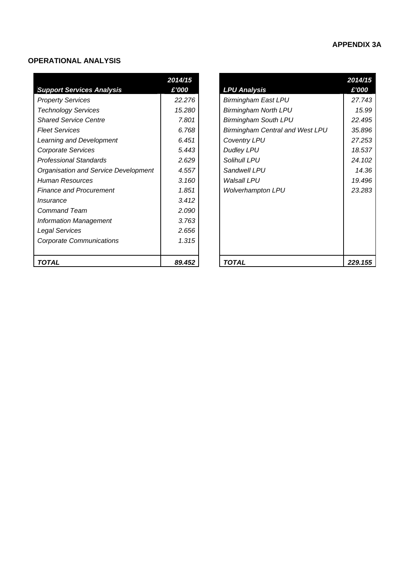# **APPENDIX 3A**

### **OPERATIONAL ANALYSIS**

|                                      | 2014/15 |                                        | 2014/15 |
|--------------------------------------|---------|----------------------------------------|---------|
| <b>Support Services Analysis</b>     | £'000   | <b>LPU Analysis</b>                    | £'000   |
| <b>Property Services</b>             | 22.276  | <b>Birmingham East LPU</b>             | 27.743  |
| <b>Technology Services</b>           | 15.280  | <b>Birmingham North LPU</b>            | 15.99   |
| <b>Shared Service Centre</b>         | 7.801   | <b>Birmingham South LPU</b>            | 22.495  |
| <b>Fleet Services</b>                | 6.768   | <b>Birmingham Central and West LPU</b> | 35.896  |
| Learning and Development             | 6.451   | <b>Coventry LPU</b>                    | 27.253  |
| Corporate Services                   | 5.443   | <b>Dudley LPU</b>                      | 18.537  |
| <b>Professional Standards</b>        | 2.629   | Solihull LPU                           | 24.102  |
| Organisation and Service Development | 4.557   | Sandwell LPU                           | 14.36   |
| <b>Human Resources</b>               | 3.160   | <b>Walsall LPU</b>                     | 19.496  |
| <b>Finance and Procurement</b>       | 1.851   | <b>Wolverhampton LPU</b>               | 23.283  |
| <i><b>Insurance</b></i>              | 3.412   |                                        |         |
| <b>Command Team</b>                  | 2.090   |                                        |         |
| <b>Information Management</b>        | 3.763   |                                        |         |
| Legal Services                       | 2.656   |                                        |         |
| <b>Corporate Communications</b>      | 1.315   |                                        |         |
|                                      |         |                                        |         |
| <b>TOTAL</b>                         | 89.452  | <b>TOTAL</b>                           | 229.155 |

| 014/15 |                                        | 2014/15 |
|--------|----------------------------------------|---------|
| £'000  | <b>LPU Analysis</b>                    | £'000   |
| 22.276 | <b>Birmingham East LPU</b>             | 27.743  |
| 15.280 | <b>Birmingham North LPU</b>            | 15.99   |
| 7.801  | <b>Birmingham South LPU</b>            | 22.495  |
| 6.768  | <b>Birmingham Central and West LPU</b> | 35.896  |
| 6.451  | <b>Coventry LPU</b>                    | 27.253  |
| 5.443  | <b>Dudley LPU</b>                      | 18.537  |
| 2.629  | Solihull LPU                           | 24.102  |
| 4.557  | Sandwell LPU                           | 14.36   |
| 3.160  | Walsall LPU                            | 19.496  |
| 1.851  | <b>Wolverhampton LPU</b>               | 23.283  |
| 3.412  |                                        |         |
| 2.090  |                                        |         |
| 3.763  |                                        |         |
| 2.656  |                                        |         |
| 1.315  |                                        |         |
|        |                                        |         |
| 89.452 | TOTAL                                  | 229.155 |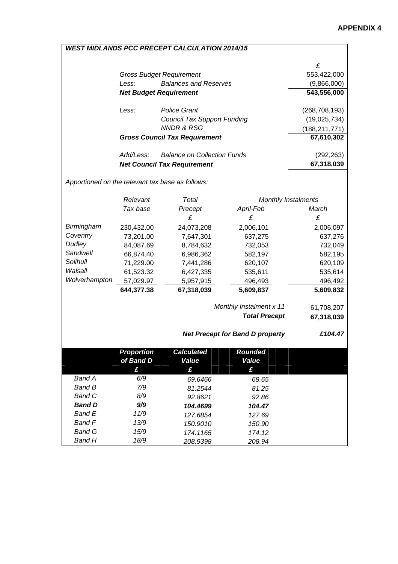|                                                  |                                    | <b>WEST MIDLANDS PCC PRECEPT CALCULATION 2014/15</b> |                                        |                 |
|--------------------------------------------------|------------------------------------|------------------------------------------------------|----------------------------------------|-----------------|
|                                                  |                                    |                                                      |                                        | £               |
|                                                  |                                    | <b>Gross Budget Requirement</b>                      |                                        | 553,422,000     |
|                                                  | Less:                              | <b>Balances and Reserves</b>                         |                                        | (9,866,000)     |
|                                                  |                                    | <b>Net Budget Requirement</b>                        |                                        | 543,556,000     |
|                                                  |                                    |                                                      |                                        |                 |
|                                                  | Less:                              | <b>Police Grant</b>                                  |                                        | (268, 708, 193) |
|                                                  |                                    | <b>Council Tax Support Funding</b>                   |                                        | (19,025,734)    |
|                                                  |                                    | <b>NNDR &amp; RSG</b>                                |                                        | (188, 211, 771) |
|                                                  |                                    | <b>Gross Council Tax Requirement</b>                 |                                        | 67,610,302      |
|                                                  | Add/Less:                          | <b>Balance on Collection Funds</b>                   |                                        | (292, 263)      |
|                                                  | <b>Net Council Tax Requirement</b> |                                                      |                                        |                 |
|                                                  |                                    |                                                      |                                        |                 |
| Apportioned on the relevant tax base as follows: |                                    |                                                      |                                        |                 |
|                                                  | Relevant                           | Total                                                | <b>Monthly Instalments</b>             |                 |
|                                                  | Tax base                           | Precept                                              | April-Feb                              | March           |
|                                                  |                                    | £                                                    | £                                      | £               |
| Birmingham                                       | 230,432.00                         | 24,073,208                                           | 2,006,101                              | 2,006,097       |
| Coventry                                         | 73,201.00                          | 7,647,301                                            | 637,275                                | 637,276         |
| Dudley                                           | 84,087.69                          | 8,784,632                                            | 732,053                                | 732,049         |
| Sandwell                                         | 66,874.40                          | 6,986,362                                            | 582,197                                | 582,195         |
| Solihull                                         | 71,229.00                          | 7,441,286                                            | 620,107                                | 620,109         |
| Walsall                                          | 61,523.32                          | 6,427,335                                            | 535,611                                | 535,614         |
| Wolverhampton                                    | 57,029.97                          | 5,957,915                                            | 496,493                                | 496,492         |
|                                                  | 644,377.38                         | 67,318,039                                           | 5,609,837                              | 5,609,832       |
|                                                  |                                    |                                                      | Monthly Instalment x 11                | 61,708,207      |
|                                                  |                                    |                                                      | <b>Total Precept</b>                   | 67,318,039      |
|                                                  |                                    |                                                      |                                        |                 |
|                                                  |                                    |                                                      | <b>Net Precept for Band D property</b> | £104.47         |
|                                                  | <b>Proportion</b>                  | <b>Calculated</b>                                    | <b>Rounded</b>                         |                 |
|                                                  | of Band D                          | Value                                                | Value                                  |                 |
|                                                  | £                                  | £                                                    | £                                      |                 |
| <b>Band A</b>                                    | 6/9                                | 69.6466                                              | 69.65                                  |                 |
| <b>Band B</b>                                    | 7/9                                | 81.2544                                              | 81.25                                  |                 |
| <b>Band C</b>                                    | 8/9                                | 92.8621                                              | 92.86                                  |                 |
| <b>Band D</b>                                    | 9/9                                | 104.4699                                             | 104.47                                 |                 |
| <b>Band E</b>                                    | 11/9                               | 127.6854                                             | 127.69                                 |                 |
| <b>Band F</b>                                    | 13/9                               | 150.9010                                             | 150.90                                 |                 |
| <b>Band G</b>                                    | 15/9                               | 174.1165                                             | 174.12                                 |                 |

*Band G* 15/9 174.1165 174.12<br>*Band H* 18/9 208.9398 208.94

*Band H 18/9 208.9398 208.94* 

# *WEST MIDLANDS PCC PRECEPT CALCULATION 2014/15*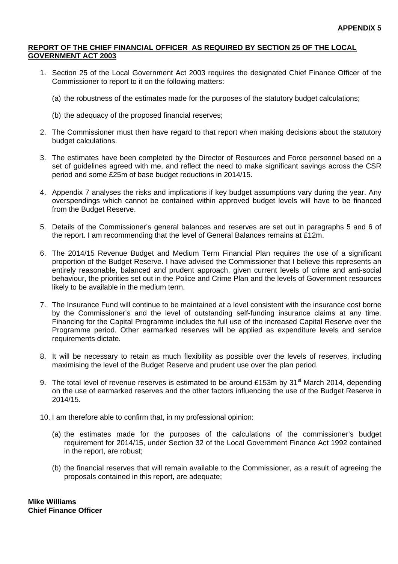### **REPORT OF THE CHIEF FINANCIAL OFFICER AS REQUIRED BY SECTION 25 OF THE LOCAL GOVERNMENT ACT 2003**

- 1. Section 25 of the Local Government Act 2003 requires the designated Chief Finance Officer of the Commissioner to report to it on the following matters:
	- (a) the robustness of the estimates made for the purposes of the statutory budget calculations;
	- (b) the adequacy of the proposed financial reserves;
- 2. The Commissioner must then have regard to that report when making decisions about the statutory budget calculations.
- 3. The estimates have been completed by the Director of Resources and Force personnel based on a set of guidelines agreed with me, and reflect the need to make significant savings across the CSR period and some £25m of base budget reductions in 2014/15.
- 4. Appendix 7 analyses the risks and implications if key budget assumptions vary during the year. Any overspendings which cannot be contained within approved budget levels will have to be financed from the Budget Reserve.
- 5. Details of the Commissioner's general balances and reserves are set out in paragraphs 5 and 6 of the report. I am recommending that the level of General Balances remains at £12m.
- 6. The 2014/15 Revenue Budget and Medium Term Financial Plan requires the use of a significant proportion of the Budget Reserve. I have advised the Commissioner that I believe this represents an entirely reasonable, balanced and prudent approach, given current levels of crime and anti-social behaviour, the priorities set out in the Police and Crime Plan and the levels of Government resources likely to be available in the medium term.
- 7. The Insurance Fund will continue to be maintained at a level consistent with the insurance cost borne by the Commissioner's and the level of outstanding self-funding insurance claims at any time. Financing for the Capital Programme includes the full use of the increased Capital Reserve over the Programme period. Other earmarked reserves will be applied as expenditure levels and service requirements dictate.
- 8. It will be necessary to retain as much flexibility as possible over the levels of reserves, including maximising the level of the Budget Reserve and prudent use over the plan period.
- 9. The total level of revenue reserves is estimated to be around £153m by 31<sup>st</sup> March 2014, depending on the use of earmarked reserves and the other factors influencing the use of the Budget Reserve in 2014/15.
- 10. I am therefore able to confirm that, in my professional opinion:
	- (a) the estimates made for the purposes of the calculations of the commissioner's budget requirement for 2014/15, under Section 32 of the Local Government Finance Act 1992 contained in the report, are robust;
	- (b) the financial reserves that will remain available to the Commissioner, as a result of agreeing the proposals contained in this report, are adequate;

**Mike Williams Chief Finance Officer**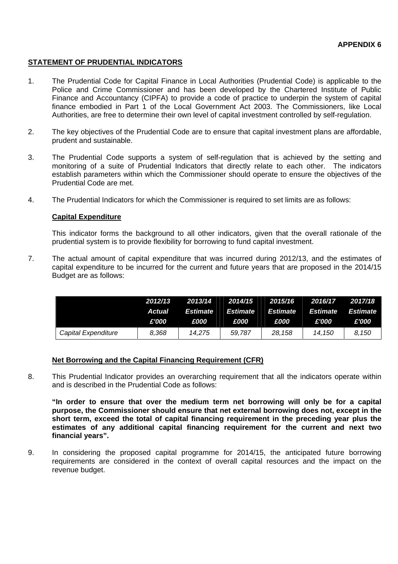## **STATEMENT OF PRUDENTIAL INDICATORS**

- 1. The Prudential Code for Capital Finance in Local Authorities (Prudential Code) is applicable to the Police and Crime Commissioner and has been developed by the Chartered Institute of Public Finance and Accountancy (CIPFA) to provide a code of practice to underpin the system of capital finance embodied in Part 1 of the Local Government Act 2003. The Commissioners, like Local Authorities, are free to determine their own level of capital investment controlled by self-regulation.
- 2. The key objectives of the Prudential Code are to ensure that capital investment plans are affordable, prudent and sustainable.
- 3. The Prudential Code supports a system of self-regulation that is achieved by the setting and monitoring of a suite of Prudential Indicators that directly relate to each other. The indicators establish parameters within which the Commissioner should operate to ensure the objectives of the Prudential Code are met.
- 4. The Prudential Indicators for which the Commissioner is required to set limits are as follows:

### **Capital Expenditure**

This indicator forms the background to all other indicators, given that the overall rationale of the prudential system is to provide flexibility for borrowing to fund capital investment.

7. The actual amount of capital expenditure that was incurred during 2012/13, and the estimates of capital expenditure to be incurred for the current and future years that are proposed in the 2014/15 Budget are as follows:

|                     | 2012/13       |                    | 2013/14    2014/15    2015/16 |             | 2016/17 | 2017/18  |
|---------------------|---------------|--------------------|-------------------------------|-------------|---------|----------|
|                     | <b>Actual</b> | Estimate           | Estimate Estimate Estimate    |             |         | Estimate |
|                     | £'000         | <i><b>£000</b></i> | <i><b>£000</b></i>            | <b>£000</b> | £'000   | £'000    |
| Capital Expenditure | 8.368         | 14.275             | 59.787                        | 28,158      | 14.150  | 8.150    |

## **Net Borrowing and the Capital Financing Requirement (CFR)**

8. This Prudential Indicator provides an overarching requirement that all the indicators operate within and is described in the Prudential Code as follows:

**"In order to ensure that over the medium term net borrowing will only be for a capital purpose, the Commissioner should ensure that net external borrowing does not, except in the short term, exceed the total of capital financing requirement in the preceding year plus the estimates of any additional capital financing requirement for the current and next two financial years".** 

9. In considering the proposed capital programme for 2014/15, the anticipated future borrowing requirements are considered in the context of overall capital resources and the impact on the revenue budget.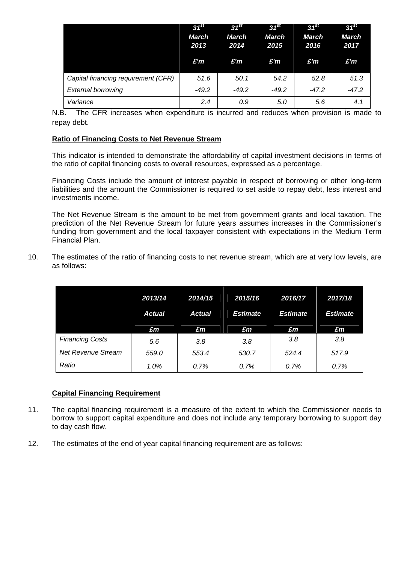|                                     | $31^{st}$<br><b>March</b><br>2013<br>£'m | $31^{st}$<br><b>March</b><br>2014<br>£'m | $31^{st}$<br><b>March</b><br>2015<br>£'m | $31^{st}$<br><b>March</b><br>2016<br>£'m | $31^{st}$<br><b>March</b><br>2017<br>£'m |
|-------------------------------------|------------------------------------------|------------------------------------------|------------------------------------------|------------------------------------------|------------------------------------------|
| Capital financing requirement (CFR) | 51.6                                     | 50.1                                     | 54.2                                     | 52.8                                     | 51.3                                     |
| <b>External borrowing</b>           | $-49.2$                                  | $-49.2$                                  | $-49.2$                                  | $-47.2$                                  | $-47.2$                                  |
| Variance                            | 2.4                                      | 0.9                                      | 5.0                                      | 5.6                                      | 4.1                                      |

N.B. The CFR increases when expenditure is incurred and reduces when provision is made to repay debt.

## **Ratio of Financing Costs to Net Revenue Stream**

This indicator is intended to demonstrate the affordability of capital investment decisions in terms of the ratio of capital financing costs to overall resources, expressed as a percentage.

Financing Costs include the amount of interest payable in respect of borrowing or other long-term liabilities and the amount the Commissioner is required to set aside to repay debt, less interest and investments income.

The Net Revenue Stream is the amount to be met from government grants and local taxation. The prediction of the Net Revenue Stream for future years assumes increases in the Commissioner's funding from government and the local taxpayer consistent with expectations in the Medium Term Financial Plan.

10. The estimates of the ratio of financing costs to net revenue stream, which are at very low levels, are as follows:

|                        | 2013/14       | 2014/15 | 2015/16         | 2016/17         | 2017/18         |
|------------------------|---------------|---------|-----------------|-----------------|-----------------|
|                        | <b>Actual</b> | Actual  | <b>Estimate</b> | <b>Estimate</b> | <b>Estimate</b> |
|                        | £m            | £m      | E <sub>m</sub>  | £m              | £m              |
| <b>Financing Costs</b> | 5.6           | 3.8     | 3.8             | 3.8             | 3.8             |
| Net Revenue Stream     | 559.0         | 553.4   | 530.7           | 524.4           | 517.9           |
| Ratio                  | 1.0%          | 0.7%    | 0.7%            | 0.7%            | 0.7%            |

## **Capital Financing Requirement**

- 11. The capital financing requirement is a measure of the extent to which the Commissioner needs to borrow to support capital expenditure and does not include any temporary borrowing to support day to day cash flow.
- 12. The estimates of the end of year capital financing requirement are as follows: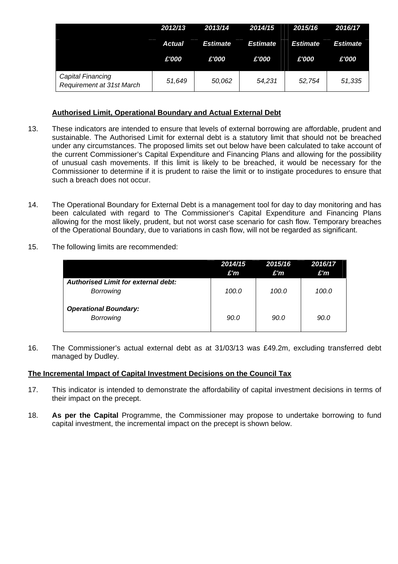|                                                | 2012/13       | 2013/14         | 2014/15         | 2015/16         | 2016/17         |
|------------------------------------------------|---------------|-----------------|-----------------|-----------------|-----------------|
|                                                | <b>Actual</b> | <b>Estimate</b> | <b>Estimate</b> | <b>Estimate</b> | <b>Estimate</b> |
|                                                | £'000         | £'000           | £'000           | £'000           | £'000           |
| Capital Financing<br>Requirement at 31st March | 51,649        | 50,062          | 54,231          | 52,754          | 51,335          |

# **Authorised Limit, Operational Boundary and Actual External Debt**

- 13. These indicators are intended to ensure that levels of external borrowing are affordable, prudent and sustainable. The Authorised Limit for external debt is a statutory limit that should not be breached under any circumstances. The proposed limits set out below have been calculated to take account of the current Commissioner's Capital Expenditure and Financing Plans and allowing for the possibility of unusual cash movements. If this limit is likely to be breached, it would be necessary for the Commissioner to determine if it is prudent to raise the limit or to instigate procedures to ensure that such a breach does not occur.
- 14. The Operational Boundary for External Debt is a management tool for day to day monitoring and has been calculated with regard to The Commissioner's Capital Expenditure and Financing Plans allowing for the most likely, prudent, but not worst case scenario for cash flow. Temporary breaches of the Operational Boundary, due to variations in cash flow, will not be regarded as significant.
- 15. The following limits are recommended:

|                                                                | 2014/15<br>£'m | 2015/16<br>£'m | 2016/17<br>£'m |
|----------------------------------------------------------------|----------------|----------------|----------------|
| <b>Authorised Limit for external debt:</b><br><b>Borrowing</b> | 100.0          | 100.0          | 100.0          |
| <b>Operational Boundary:</b><br><b>Borrowing</b>               | 90.0           | 90.0           | 90.0           |

16. The Commissioner's actual external debt as at 31/03/13 was £49.2m, excluding transferred debt managed by Dudley.

## **The Incremental Impact of Capital Investment Decisions on the Council Tax**

- 17. This indicator is intended to demonstrate the affordability of capital investment decisions in terms of their impact on the precept.
- 18. **As per the Capital** Programme, the Commissioner may propose to undertake borrowing to fund capital investment, the incremental impact on the precept is shown below.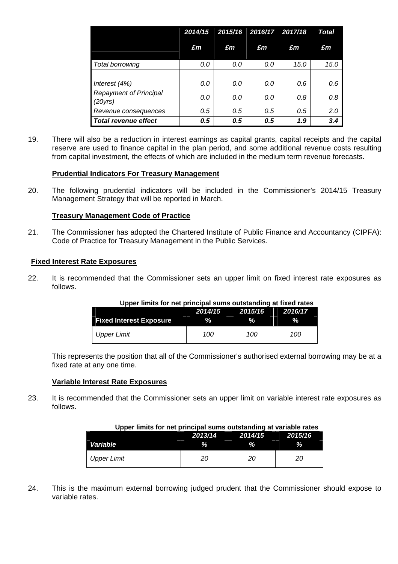|                                                             | 2014/15    |            | 2015/16 2016/17 2017/18 |            | Total      |
|-------------------------------------------------------------|------------|------------|-------------------------|------------|------------|
|                                                             | £m         | £m         | £m                      | £m         | £m         |
| Total borrowing                                             | 0.0        | 0.0        | 0.0                     | 15.0       | 15.0       |
| Interest $(4%)$<br><b>Repayment of Principal</b><br>(20yrs) | 0.0<br>0.0 | 0.0<br>0.0 | 0.0<br>0.0              | 0.6<br>0.8 | 0.6<br>0.8 |
| Revenue consequences                                        | 0.5        | 0.5        | 0.5                     | 0.5        | 2.0        |
| <b>Total revenue effect</b>                                 | 0.5        | 0.5        | 0.5                     | 1.9        | 3.4        |

19. There will also be a reduction in interest earnings as capital grants, capital receipts and the capital reserve are used to finance capital in the plan period, and some additional revenue costs resulting from capital investment, the effects of which are included in the medium term revenue forecasts.

# **Prudential Indicators For Treasury Management**

20. The following prudential indicators will be included in the Commissioner's 2014/15 Treasury Management Strategy that will be reported in March.

## **Treasury Management Code of Practice**

21. The Commissioner has adopted the Chartered Institute of Public Finance and Accountancy (CIPFA): Code of Practice for Treasury Management in the Public Services.

## **Fixed Interest Rate Exposures**

22. It is recommended that the Commissioner sets an upper limit on fixed interest rate exposures as follows.

| Opper limits for het principal sums outstanding at fixed rates |                            |     |     |  |  |  |  |
|----------------------------------------------------------------|----------------------------|-----|-----|--|--|--|--|
|                                                                | 2014/15 2015/16<br>2016/17 |     |     |  |  |  |  |
| <b>Fixed Interest Exposure</b>                                 | %                          |     |     |  |  |  |  |
| Upper Limit                                                    | 100.                       | 100 | 100 |  |  |  |  |

#### **Upper limits for net principal sums outstanding at fixed rates**

This represents the position that all of the Commissioner's authorised external borrowing may be at a fixed rate at any one time.

#### **Variable Interest Rate Exposures**

23. It is recommended that the Commissioner sets an upper limit on variable interest rate exposures as follows.

#### **Upper limits for net principal sums outstanding at variable rates**

|             | 2013/14    | . .<br>2014/15 | 2015/16       |
|-------------|------------|----------------|---------------|
| Variable    | __<br>$\%$ | __<br>%        | __<br>0/<br>n |
| Upper Limit |            |                |               |

24. This is the maximum external borrowing judged prudent that the Commissioner should expose to variable rates.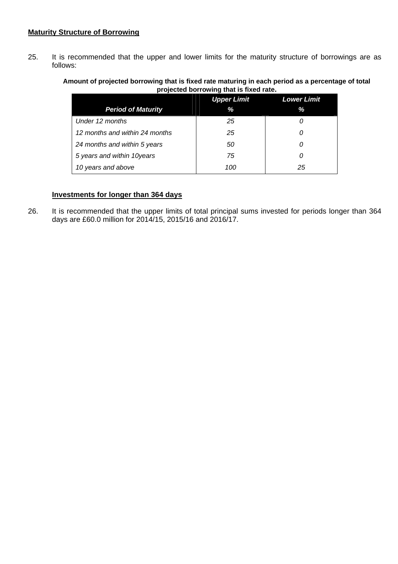## **Maturity Structure of Borrowing**

25. It is recommended that the upper and lower limits for the maturity structure of borrowings are as follows:

### **Amount of projected borrowing that is fixed rate maturing in each period as a percentage of total projected borrowing that is fixed rate.**

|                                | <b>Upper Limit</b> | <b>Lower Limit</b> |
|--------------------------------|--------------------|--------------------|
| <b>Period of Maturity</b>      | %                  | %                  |
| Under 12 months                | 25                 |                    |
| 12 months and within 24 months | 25                 | 0                  |
| 24 months and within 5 years   | 50                 | 0                  |
| 5 years and within 10years     | 75                 | 0                  |
| 10 years and above             | 100                | 25                 |

# **Investments for longer than 364 days**

26. It is recommended that the upper limits of total principal sums invested for periods longer than 364 days are £60.0 million for 2014/15, 2015/16 and 2016/17.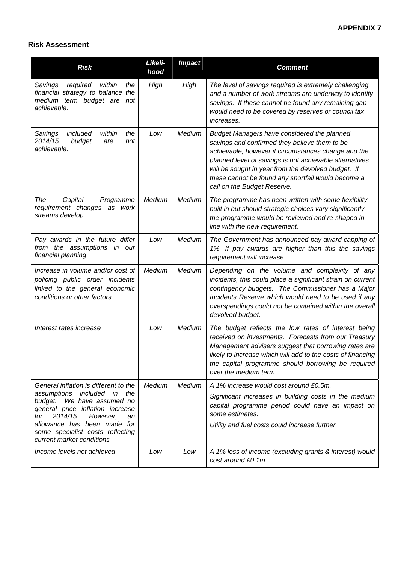# **Risk Assessment**

| <b>Risk</b>                                                                                                                                                                                                                                                                       | Likeli-<br>hood | <b>Impact</b> | <b>Comment</b>                                                                                                                                                                                                                                                                                                                                             |
|-----------------------------------------------------------------------------------------------------------------------------------------------------------------------------------------------------------------------------------------------------------------------------------|-----------------|---------------|------------------------------------------------------------------------------------------------------------------------------------------------------------------------------------------------------------------------------------------------------------------------------------------------------------------------------------------------------------|
| required<br>the<br>Savings<br>within<br>financial strategy to balance the<br>medium term budget are<br>not<br>achievable.                                                                                                                                                         | High            | High          | The level of savings required is extremely challenging<br>and a number of work streams are underway to identify<br>savings. If these cannot be found any remaining gap<br>would need to be covered by reserves or council tax<br><i>increases.</i>                                                                                                         |
| included<br>Savings<br>within<br>the<br>2014/15<br>budget<br>not<br>are<br>achievable.                                                                                                                                                                                            | Low             | Medium        | Budget Managers have considered the planned<br>savings and confirmed they believe them to be<br>achievable, however if circumstances change and the<br>planned level of savings is not achievable alternatives<br>will be sought in year from the devolved budget. If<br>these cannot be found any shortfall would become a<br>call on the Budget Reserve. |
| Capital<br>The<br>Programme<br>requirement changes as work<br>streams develop.                                                                                                                                                                                                    | Medium          | Medium        | The programme has been written with some flexibility<br>built in but should strategic choices vary significantly<br>the programme would be reviewed and re-shaped in<br>line with the new requirement.                                                                                                                                                     |
| Pay awards in the future differ<br>from the assumptions in our<br>financial planning                                                                                                                                                                                              | Low             | Medium        | The Government has announced pay award capping of<br>1%. If pay awards are higher than this the savings<br>requirement will increase.                                                                                                                                                                                                                      |
| Increase in volume and/or cost of<br>policing public order incidents<br>linked to the general economic<br>conditions or other factors                                                                                                                                             | Medium          | Medium        | Depending on the volume and complexity of any<br>incidents, this could place a significant strain on current<br>contingency budgets. The Commissioner has a Major<br>Incidents Reserve which would need to be used if any<br>overspendings could not be contained within the overall<br>devolved budget.                                                   |
| Interest rates increase                                                                                                                                                                                                                                                           | Low             | Medium        | The budget reflects the low rates of interest being<br>received on investments. Forecasts from our Treasury<br>Management advisers suggest that borrowing rates are<br>likely to increase which will add to the costs of financing<br>the capital programme should borrowing be required<br>over the medium term.                                          |
| General inflation is different to the<br>assumptions<br>included in<br>the<br>budget. We have assumed no<br>general price inflation increase<br>2014/15.<br>for<br>However,<br>an<br>allowance has been made for<br>some specialist costs reflecting<br>current market conditions | Medium          | Medium        | A 1% increase would cost around £0.5m.<br>Significant increases in building costs in the medium<br>capital programme period could have an impact on<br>some estimates.<br>Utility and fuel costs could increase further                                                                                                                                    |
| Income levels not achieved                                                                                                                                                                                                                                                        | Low             | Low           | A 1% loss of income (excluding grants & interest) would<br>cost around £0.1m.                                                                                                                                                                                                                                                                              |